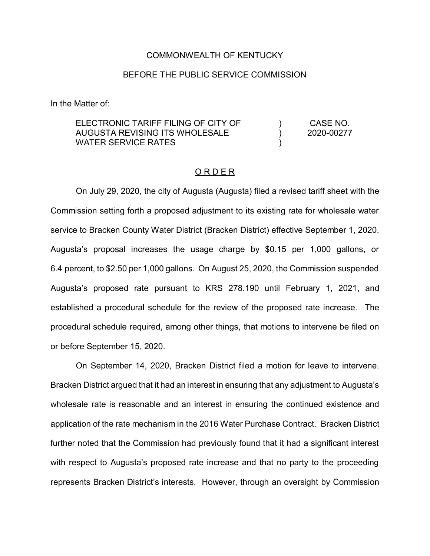### COMMONWEALTH OF KENTUCKY

### BEFORE THE PUBLIC SERVICE COMMISSION

In the Matter of:

ELECTRONIC TARIFF FILING OF CITY OF AUGUSTA REVISING ITS WHOLESALE WATER SERVICE RATES  $\lambda$ ) ) CASE NO. 2020-00277

#### O R D E R

On July 29, 2020, the city of Augusta (Augusta) filed a revised tariff sheet with the Commission setting forth a proposed adjustment to its existing rate for wholesale water service to Bracken County Water District (Bracken District) effective September 1, 2020. Augusta's proposal increases the usage charge by \$0.15 per 1,000 gallons, or 6.4 percent, to \$2.50 per 1,000 gallons. On August 25, 2020, the Commission suspended Augusta's proposed rate pursuant to KRS 278.190 until February 1, 2021, and established a procedural schedule for the review of the proposed rate increase. The procedural schedule required, among other things, that motions to intervene be filed on or before September 15, 2020.

On September 14, 2020, Bracken District filed a motion for leave to intervene. Bracken District argued that it had an interest in ensuring that any adjustment to Augusta's wholesale rate is reasonable and an interest in ensuring the continued existence and application of the rate mechanism in the 2016 Water Purchase Contract. Bracken District further noted that the Commission had previously found that it had a significant interest with respect to Augusta's proposed rate increase and that no party to the proceeding represents Bracken District's interests. However, through an oversight by Commission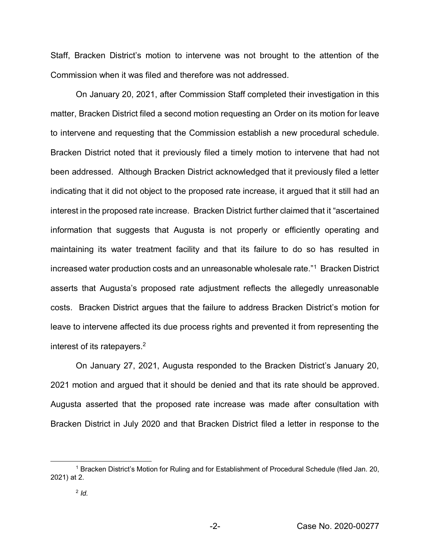Staff, Bracken District's motion to intervene was not brought to the attention of the Commission when it was filed and therefore was not addressed.

On January 20, 2021, after Commission Staff completed their investigation in this matter, Bracken District filed a second motion requesting an Order on its motion for leave to intervene and requesting that the Commission establish a new procedural schedule. Bracken District noted that it previously filed a timely motion to intervene that had not been addressed. Although Bracken District acknowledged that it previously filed a letter indicating that it did not object to the proposed rate increase, it argued that it still had an interest in the proposed rate increase. Bracken District further claimed that it "ascertained information that suggests that Augusta is not properly or efficiently operating and maintaining its water treatment facility and that its failure to do so has resulted in increased water production costs and an unreasonable wholesale rate."1 Bracken District asserts that Augusta's proposed rate adjustment reflects the allegedly unreasonable costs. Bracken District argues that the failure to address Bracken District's motion for leave to intervene affected its due process rights and prevented it from representing the interest of its ratepayers.2

On January 27, 2021, Augusta responded to the Bracken District's January 20, 2021 motion and argued that it should be denied and that its rate should be approved. Augusta asserted that the proposed rate increase was made after consultation with Bracken District in July 2020 and that Bracken District filed a letter in response to the

 <sup>1</sup> Bracken District's Motion for Ruling and for Establishment of Procedural Schedule (filed Jan. 20, 2021) at 2.

<sup>2</sup> *Id.*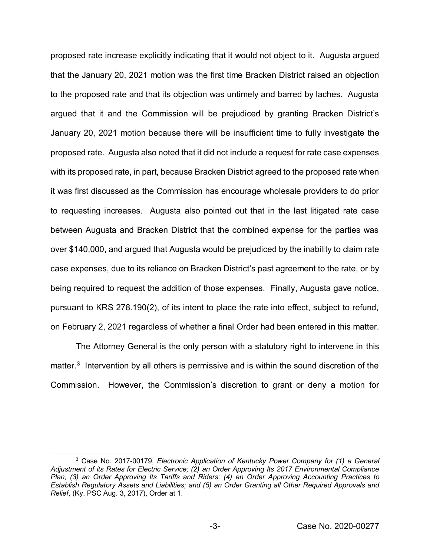proposed rate increase explicitly indicating that it would not object to it. Augusta argued that the January 20, 2021 motion was the first time Bracken District raised an objection to the proposed rate and that its objection was untimely and barred by laches. Augusta argued that it and the Commission will be prejudiced by granting Bracken District's January 20, 2021 motion because there will be insufficient time to fully investigate the proposed rate. Augusta also noted that it did not include a request for rate case expenses with its proposed rate, in part, because Bracken District agreed to the proposed rate when it was first discussed as the Commission has encourage wholesale providers to do prior to requesting increases. Augusta also pointed out that in the last litigated rate case between Augusta and Bracken District that the combined expense for the parties was over \$140,000, and argued that Augusta would be prejudiced by the inability to claim rate case expenses, due to its reliance on Bracken District's past agreement to the rate, or by being required to request the addition of those expenses. Finally, Augusta gave notice, pursuant to KRS 278.190(2), of its intent to place the rate into effect, subject to refund, on February 2, 2021 regardless of whether a final Order had been entered in this matter.

The Attorney General is the only person with a statutory right to intervene in this matter.<sup>3</sup> Intervention by all others is permissive and is within the sound discretion of the Commission. However, the Commission's discretion to grant or deny a motion for

 <sup>3</sup> Case No. 2017-00179, *Electronic Application of Kentucky Power Company for (1) a General Adjustment of its Rates for Electric Service; (2) an Order Approving Its 2017 Environmental Compliance Plan; (3) an Order Approving Its Tariffs and Riders; (4) an Order Approving Accounting Practices to Establish Regulatory Assets and Liabilities; and (5) an Order Granting all Other Required Approvals and Relief*, (Ky. PSC Aug. 3, 2017), Order at 1.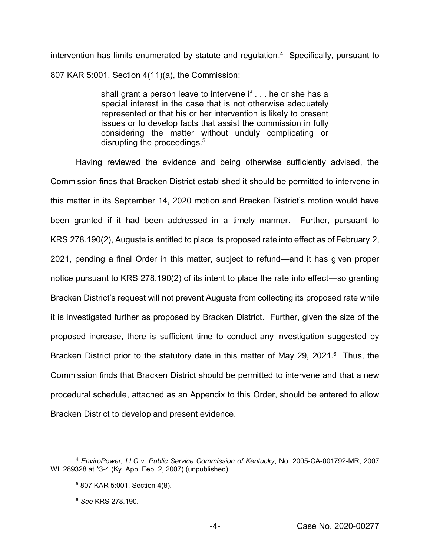intervention has limits enumerated by statute and regulation. 4 Specifically, pursuant to 807 KAR 5:001, Section 4(11)(a), the Commission:

> shall grant a person leave to intervene if . . . he or she has a special interest in the case that is not otherwise adequately represented or that his or her intervention is likely to present issues or to develop facts that assist the commission in fully considering the matter without unduly complicating or disrupting the proceedings.<sup>5</sup>

Having reviewed the evidence and being otherwise sufficiently advised, the Commission finds that Bracken District established it should be permitted to intervene in this matter in its September 14, 2020 motion and Bracken District's motion would have been granted if it had been addressed in a timely manner. Further, pursuant to KRS 278.190(2), Augusta is entitled to place its proposed rate into effect as of February 2, 2021, pending a final Order in this matter, subject to refund—and it has given proper notice pursuant to KRS 278.190(2) of its intent to place the rate into effect—so granting Bracken District's request will not prevent Augusta from collecting its proposed rate while it is investigated further as proposed by Bracken District. Further, given the size of the proposed increase, there is sufficient time to conduct any investigation suggested by Bracken District prior to the statutory date in this matter of May 29, 2021.<sup>6</sup> Thus, the Commission finds that Bracken District should be permitted to intervene and that a new procedural schedule, attached as an Appendix to this Order, should be entered to allow Bracken District to develop and present evidence.

 <sup>4</sup> *EnviroPower, LLC v. Public Service Commission of Kentucky*, No. 2005-CA-001792-MR, 2007 WL 289328 at \*3-4 (Ky. App. Feb. 2, 2007) (unpublished).

<sup>5</sup> 807 KAR 5:001, Section 4(8).

<sup>6</sup> *See* KRS 278.190.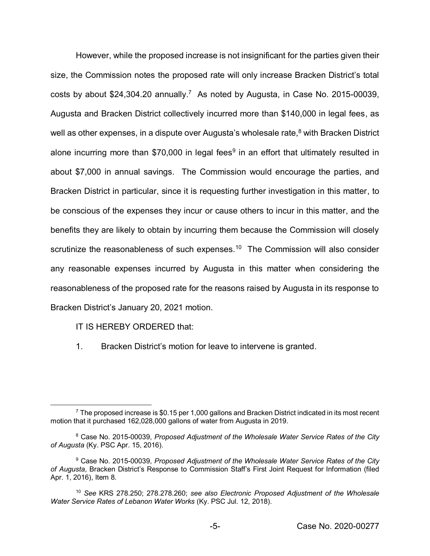However, while the proposed increase is not insignificant for the parties given their size, the Commission notes the proposed rate will only increase Bracken District's total costs by about \$24,304.20 annually.7 As noted by Augusta, in Case No. 2015-00039, Augusta and Bracken District collectively incurred more than \$140,000 in legal fees, as well as other expenses, in a dispute over Augusta's wholesale rate, $8$  with Bracken District alone incurring more than \$70,000 in legal fees<sup>9</sup> in an effort that ultimately resulted in about \$7,000 in annual savings. The Commission would encourage the parties, and Bracken District in particular, since it is requesting further investigation in this matter, to be conscious of the expenses they incur or cause others to incur in this matter, and the benefits they are likely to obtain by incurring them because the Commission will closely scrutinize the reasonableness of such expenses.<sup>10</sup> The Commission will also consider any reasonable expenses incurred by Augusta in this matter when considering the reasonableness of the proposed rate for the reasons raised by Augusta in its response to Bracken District's January 20, 2021 motion.

IT IS HEREBY ORDERED that:

1. Bracken District's motion for leave to intervene is granted.

 $7$  The proposed increase is \$0.15 per 1,000 gallons and Bracken District indicated in its most recent motion that it purchased 162,028,000 gallons of water from Augusta in 2019.

<sup>8</sup> Case No. 2015-00039, *Proposed Adjustment of the Wholesale Water Service Rates of the City of Augusta* (Ky. PSC Apr. 15, 2016).

<sup>9</sup> Case No. 2015-00039, *Proposed Adjustment of the Wholesale Water Service Rates of the City of Augusta*, Bracken District's Response to Commission Staff's First Joint Request for Information (filed Apr. 1, 2016), Item 8.

<sup>10</sup> *See* KRS 278.250; 278.278.260; *see also Electronic Proposed Adjustment of the Wholesale Water Service Rates of Lebanon Water Works* (Ky. PSC Jul. 12, 2018).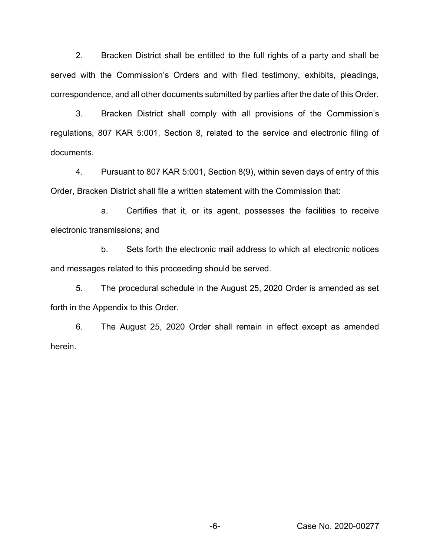2. Bracken District shall be entitled to the full rights of a party and shall be served with the Commission's Orders and with filed testimony, exhibits, pleadings, correspondence, and all other documents submitted by parties after the date of this Order.

3. Bracken District shall comply with all provisions of the Commission's regulations, 807 KAR 5:001, Section 8, related to the service and electronic filing of documents.

4. Pursuant to 807 KAR 5:001, Section 8(9), within seven days of entry of this Order, Bracken District shall file a written statement with the Commission that:

a. Certifies that it, or its agent, possesses the facilities to receive electronic transmissions; and

b. Sets forth the electronic mail address to which all electronic notices and messages related to this proceeding should be served.

5. The procedural schedule in the August 25, 2020 Order is amended as set forth in the Appendix to this Order.

6. The August 25, 2020 Order shall remain in effect except as amended herein.

-6- Case No. 2020-00277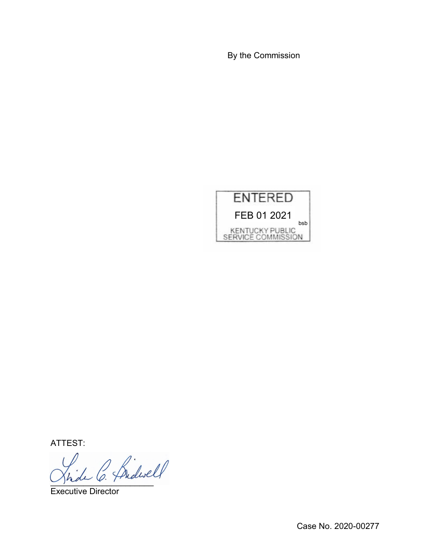By the Commission



ATTEST:

\_\_\_\_\_\_\_\_\_\_\_\_\_\_\_\_\_\_\_\_\_\_

Executive Director

Case No. 2020-00277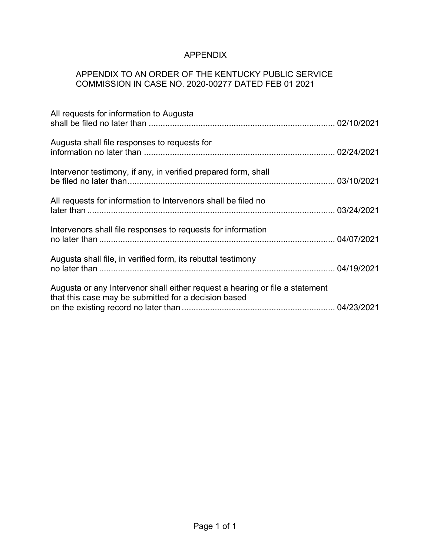## APPENDIX

# APPENDIX TO AN ORDER OF THE KENTUCKY PUBLIC SERVICE COMMISSION IN CASE NO. 2020-00277 DATED FEB 01 2021

| All requests for information to Augusta                                                                                              |  |
|--------------------------------------------------------------------------------------------------------------------------------------|--|
| Augusta shall file responses to requests for                                                                                         |  |
| Intervenor testimony, if any, in verified prepared form, shall                                                                       |  |
| All requests for information to Intervenors shall be filed no                                                                        |  |
| Intervenors shall file responses to requests for information                                                                         |  |
| Augusta shall file, in verified form, its rebuttal testimony                                                                         |  |
| Augusta or any Intervenor shall either request a hearing or file a statement<br>that this case may be submitted for a decision based |  |
|                                                                                                                                      |  |